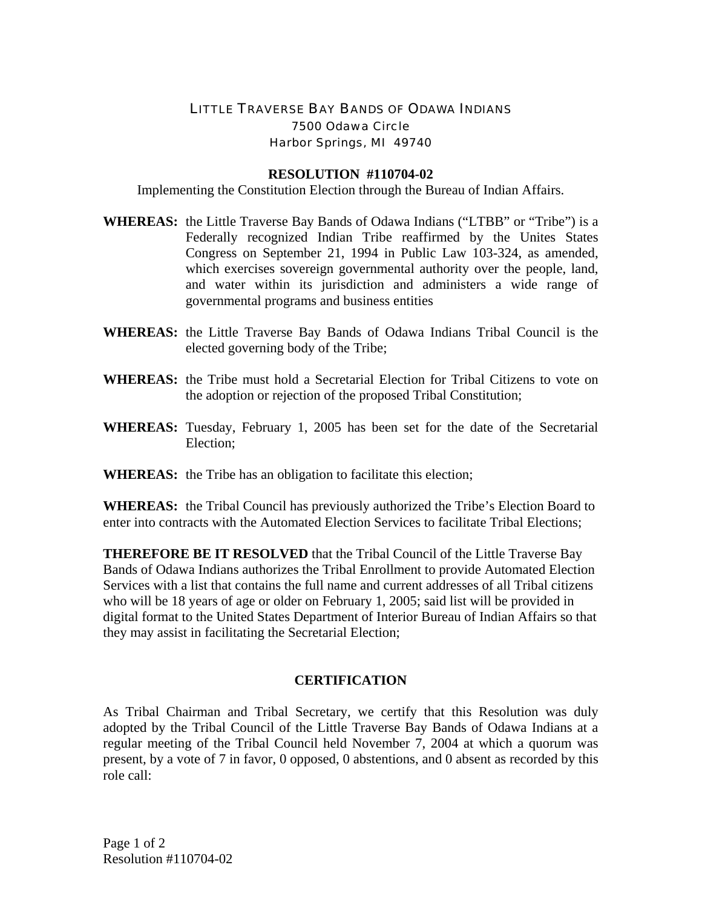## LITTLE TRAVERSE BAY BANDS OF ODAWA INDIANS 7500 Odawa Circle Harbor Springs, MI 49740

## **RESOLUTION #110704-02**

Implementing the Constitution Election through the Bureau of Indian Affairs.

- **WHEREAS:** the Little Traverse Bay Bands of Odawa Indians ("LTBB" or "Tribe") is a Federally recognized Indian Tribe reaffirmed by the Unites States Congress on September 21, 1994 in Public Law 103-324, as amended, which exercises sovereign governmental authority over the people, land, and water within its jurisdiction and administers a wide range of governmental programs and business entities
- **WHEREAS:** the Little Traverse Bay Bands of Odawa Indians Tribal Council is the elected governing body of the Tribe;
- **WHEREAS:** the Tribe must hold a Secretarial Election for Tribal Citizens to vote on the adoption or rejection of the proposed Tribal Constitution;
- **WHEREAS:** Tuesday, February 1, 2005 has been set for the date of the Secretarial Election;
- **WHEREAS:** the Tribe has an obligation to facilitate this election;

**WHEREAS:** the Tribal Council has previously authorized the Tribe's Election Board to enter into contracts with the Automated Election Services to facilitate Tribal Elections;

**THEREFORE BE IT RESOLVED** that the Tribal Council of the Little Traverse Bay Bands of Odawa Indians authorizes the Tribal Enrollment to provide Automated Election Services with a list that contains the full name and current addresses of all Tribal citizens who will be 18 years of age or older on February 1, 2005; said list will be provided in digital format to the United States Department of Interior Bureau of Indian Affairs so that they may assist in facilitating the Secretarial Election;

## **CERTIFICATION**

As Tribal Chairman and Tribal Secretary, we certify that this Resolution was duly adopted by the Tribal Council of the Little Traverse Bay Bands of Odawa Indians at a regular meeting of the Tribal Council held November 7, 2004 at which a quorum was present, by a vote of 7 in favor, 0 opposed, 0 abstentions, and 0 absent as recorded by this role call: